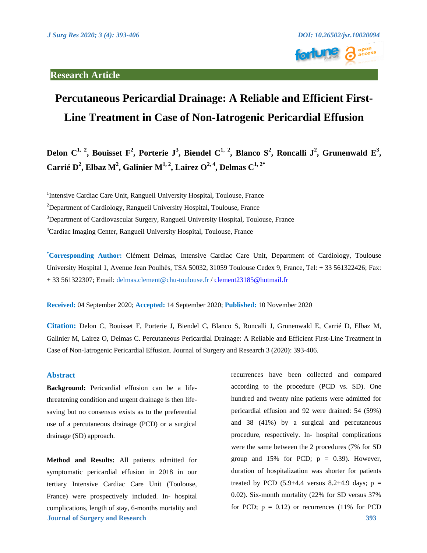

# **Percutaneous Pericardial Drainage: A Reliable and Efficient First-Line Treatment in Case of Non-Iatrogenic Pericardial Effusion**

Delon C<sup>1, 2</sup>, Bouisset F<sup>2</sup>, Porterie J<sup>3</sup>, Biendel C<sup>1, 2</sup>, Blanco S<sup>2</sup>, Roncalli J<sup>2</sup>, Grunenwald E<sup>3</sup>, **Carrié D<sup>2</sup> , Elbaz M<sup>2</sup> , Galinier M1, <sup>2</sup> , Lairez O2, <sup>4</sup> , Delmas C1, 2\***

<sup>1</sup>Intensive Cardiac Care Unit, Rangueil University Hospital, Toulouse, France  $2$ Department of Cardiology, Rangueil University Hospital, Toulouse, France <sup>3</sup>Department of Cardiovascular Surgery, Rangueil University Hospital, Toulouse, France <sup>4</sup>Cardiac Imaging Center, Rangueil University Hospital, Toulouse, France

**\*Corresponding Author:** Clément Delmas, Intensive Cardiac Care Unit, Department of Cardiology, Toulouse University Hospital 1, Avenue Jean Poulhès, TSA 50032, 31059 Toulouse Cedex 9, France, Tel: + 33 561322426; Fax: + 33 561322307; Email: [delmas.clement@chu-toulouse.fr /](mailto:delmas.clement@chu-toulouse.fr) [clement23185@hotmail.fr](mailto:clement23185@hotmail.fr)

**Received:** 04 September 2020; **Accepted:** 14 September 2020; **Published:** 10 November 2020

**Citation:** Delon C, Bouisset F, Porterie J, Biendel C, Blanco S, Roncalli J, Grunenwald E, Carrié D, Elbaz M, Galinier M, Lairez O, Delmas C. Percutaneous Pericardial Drainage: A Reliable and Efficient First-Line Treatment in Case of Non-Iatrogenic Pericardial Effusion. Journal of Surgery and Research 3 (2020): 393-406.

## **Abstract**

**Background:** Pericardial effusion can be a lifethreatening condition and urgent drainage is then lifesaving but no consensus exists as to the preferential use of a percutaneous drainage (PCD) or a surgical drainage (SD) approach.

**Journal of Surgery and Research 393 Method and Results:** All patients admitted for symptomatic pericardial effusion in 2018 in our tertiary Intensive Cardiac Care Unit (Toulouse, France) were prospectively included. In- hospital complications, length of stay, 6-months mortality and

recurrences have been collected and compared according to the procedure (PCD vs. SD). One hundred and twenty nine patients were admitted for pericardial effusion and 92 were drained: 54 (59%) and 38 (41%) by a surgical and percutaneous procedure, respectively. In- hospital complications were the same between the 2 procedures (7% for SD group and 15% for PCD;  $p = 0.39$ . However, duration of hospitalization was shorter for patients treated by PCD  $(5.9\pm4.4 \text{ versus } 8.2\pm4.9 \text{ days}; \text{ p} =$ 0.02). Six-month mortality (22% for SD versus 37% for PCD;  $p = 0.12$ ) or recurrences (11% for PCD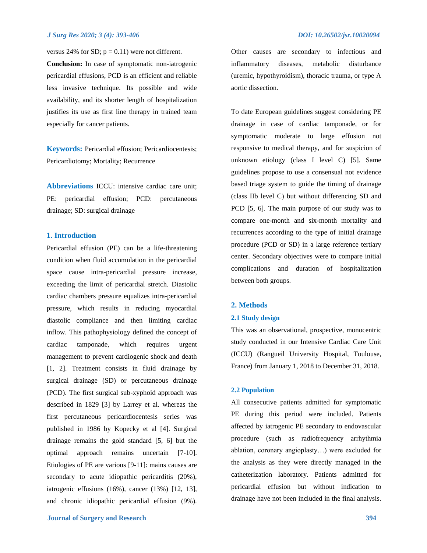versus 24% for SD;  $p = 0.11$ ) were not different.

**Conclusion:** In case of symptomatic non-iatrogenic pericardial effusions, PCD is an efficient and reliable less invasive technique. Its possible and wide availability, and its shorter length of hospitalization justifies its use as first line therapy in trained team especially for cancer patients.

**Keywords:** Pericardial effusion; Pericardiocentesis; Pericardiotomy; Mortality; Recurrence

**Abbreviations** ICCU: intensive cardiac care unit; PE: pericardial effusion; PCD: percutaneous drainage; SD: surgical drainage

## **1. Introduction**

Pericardial effusion (PE) can be a life-threatening condition when fluid accumulation in the pericardial space cause intra-pericardial pressure increase, exceeding the limit of pericardial stretch. Diastolic cardiac chambers pressure equalizes intra-pericardial pressure, which results in reducing myocardial diastolic compliance and then limiting cardiac inflow. This pathophysiology defined the concept of cardiac tamponade, which requires urgent management to prevent cardiogenic shock and death [1, 2]. Treatment consists in fluid drainage by surgical drainage (SD) or percutaneous drainage (PCD). The first surgical sub-xyphoid approach was described in 1829 [3] by Larrey et al. whereas the first percutaneous pericardiocentesis series was published in 1986 by Kopecky et al [4]. Surgical drainage remains the gold standard [5, 6] but the optimal approach remains uncertain [7-10]. Etiologies of PE are various [9-11]: mains causes are secondary to acute idiopathic pericarditis  $(20\%)$ , iatrogenic effusions (16%), cancer (13%) [12, 13], and chronic idiopathic pericardial effusion (9%).

**Journal of Surgery and Research 394**

Other causes are secondary to infectious and inflammatory diseases, metabolic disturbance (uremic, hypothyroidism), thoracic trauma, or type A aortic dissection.

To date European guidelines suggest considering PE drainage in case of cardiac tamponade, or for symptomatic moderate to large effusion not responsive to medical therapy, and for suspicion of unknown etiology (class I level C) [5]. Same guidelines propose to use a consensual not evidence based triage system to guide the timing of drainage (class IIb level C) but without differencing SD and PCD [5, 6]. The main purpose of our study was to compare one-month and six-month mortality and recurrences according to the type of initial drainage procedure (PCD or SD) in a large reference tertiary center. Secondary objectives were to compare initial complications and duration of hospitalization between both groups.

## **2. Methods**

## **2.1 Study design**

This was an observational, prospective, monocentric study conducted in our Intensive Cardiac Care Unit (ICCU) (Rangueil University Hospital, Toulouse, France) from January 1, 2018 to December 31, 2018.

## **2.2 Population**

All consecutive patients admitted for symptomatic PE during this period were included. Patients affected by iatrogenic PE secondary to endovascular procedure (such as radiofrequency arrhythmia ablation, coronary angioplasty…) were excluded for the analysis as they were directly managed in the catheterization laboratory. Patients admitted for pericardial effusion but without indication to drainage have not been included in the final analysis.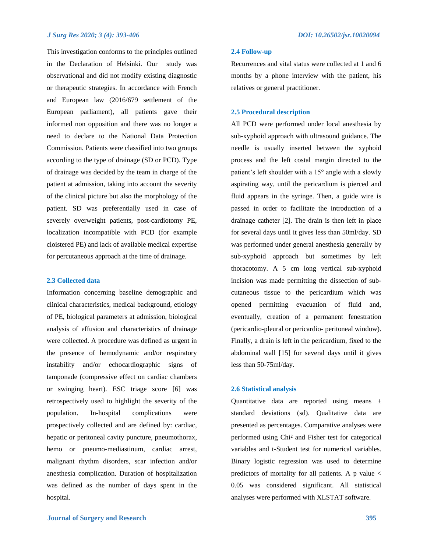This investigation conforms to the principles outlined in the Declaration of Helsinki. Our study was observational and did not modify existing diagnostic or therapeutic strategies. In accordance with French and European law (2016/679 settlement of the European parliament), all patients gave their informed non opposition and there was no longer a need to declare to the National Data Protection Commission. Patients were classified into two groups according to the type of drainage (SD or PCD). Type of drainage was decided by the team in charge of the patient at admission, taking into account the severity of the clinical picture but also the morphology of the patient. SD was preferentially used in case of severely overweight patients, post-cardiotomy PE, localization incompatible with PCD (for example cloistered PE) and lack of available medical expertise for percutaneous approach at the time of drainage.

## **2.3 Collected data**

Information concerning baseline demographic and clinical characteristics, medical background, etiology of PE, biological parameters at admission, biological analysis of effusion and characteristics of drainage were collected. A procedure was defined as urgent in the presence of hemodynamic and/or respiratory instability and/or echocardiographic signs of tamponade (compressive effect on cardiac chambers or swinging heart). ESC triage score [6] was retrospectively used to highlight the severity of the population. In-hospital complications were prospectively collected and are defined by: cardiac, hepatic or peritoneal cavity puncture, pneumothorax, hemo or pneumo-mediastinum, cardiac arrest, malignant rhythm disorders, scar infection and/or anesthesia complication. Duration of hospitalization was defined as the number of days spent in the hospital.

## **2.4 Follow-up**

Recurrences and vital status were collected at 1 and 6 months by a phone interview with the patient, his relatives or general practitioner.

## **2.5 Procedural description**

All PCD were performed under local anesthesia by sub-xyphoid approach with ultrasound guidance. The needle is usually inserted between the xyphoid process and the left costal margin directed to the patient's left shoulder with a 15° angle with a slowly aspirating way, until the pericardium is pierced and fluid appears in the syringe. Then, a guide wire is passed in order to facilitate the introduction of a drainage catheter [2]. The drain is then left in place for several days until it gives less than 50ml/day. SD was performed under general anesthesia generally by sub-xyphoid approach but sometimes by left thoracotomy. A 5 cm long vertical sub-xyphoid incision was made permitting the dissection of subcutaneous tissue to the pericardium which was opened permitting evacuation of fluid and, eventually, creation of a permanent fenestration (pericardio-pleural or pericardio- peritoneal window). Finally, a drain is left in the pericardium, fixed to the abdominal wall [15] for several days until it gives less than 50-75ml/day.

### **2.6 Statistical analysis**

Quantitative data are reported using means  $\pm$ standard deviations (sd). Qualitative data are presented as percentages. Comparative analyses were performed using Chi² and Fisher test for categorical variables and t-Student test for numerical variables. Binary logistic regression was used to determine predictors of mortality for all patients. A p value  $\lt$ 0.05 was considered significant. All statistical analyses were performed with XLSTAT software.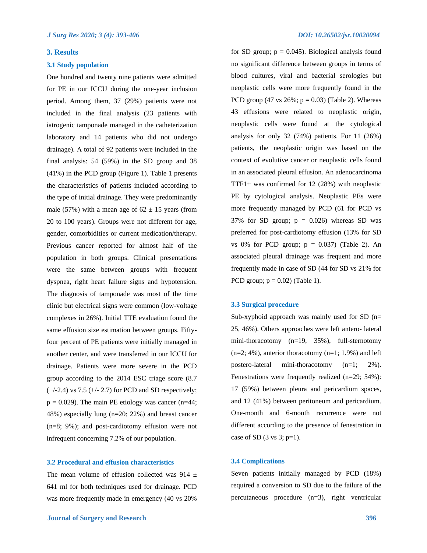## **3. Results**

## **3.1 Study population**

One hundred and twenty nine patients were admitted for PE in our ICCU during the one-year inclusion period. Among them, 37 (29%) patients were not included in the final analysis (23 patients with iatrogenic tamponade managed in the catheterization laboratory and 14 patients who did not undergo drainage). A total of 92 patients were included in the final analysis: 54 (59%) in the SD group and 38 (41%) in the PCD group (Figure 1). Table 1 presents the characteristics of patients included according to the type of initial drainage. They were predominantly male (57%) with a mean age of  $62 \pm 15$  years (from 20 to 100 years). Groups were not different for age, gender, comorbidities or current medication/therapy. Previous cancer reported for almost half of the population in both groups. Clinical presentations were the same between groups with frequent dyspnea, right heart failure signs and hypotension. The diagnosis of tamponade was most of the time clinic but electrical signs were common (low-voltage complexes in 26%). Initial TTE evaluation found the same effusion size estimation between groups. Fiftyfour percent of PE patients were initially managed in another center, and were transferred in our ICCU for drainage. Patients were more severe in the PCD group according to the 2014 ESC triage score (8.7  $(+/-2.4)$  vs 7.5  $(+/-2.7)$  for PCD and SD respectively;  $p = 0.029$ ). The main PE etiology was cancer (n=44; 48%) especially lung (n=20; 22%) and breast cancer (n=8; 9%); and post-cardiotomy effusion were not infrequent concerning 7.2% of our population.

## **3.2 Procedural and effusion characteristics**

The mean volume of effusion collected was 914  $\pm$ 641 ml for both techniques used for drainage. PCD was more frequently made in emergency (40 vs 20% for SD group;  $p = 0.045$ ). Biological analysis found no significant difference between groups in terms of blood cultures, viral and bacterial serologies but neoplastic cells were more frequently found in the PCD group (47 vs  $26\%$ ; p = 0.03) (Table 2). Whereas 43 effusions were related to neoplastic origin, neoplastic cells were found at the cytological analysis for only 32 (74%) patients. For 11 (26%) patients, the neoplastic origin was based on the context of evolutive cancer or neoplastic cells found in an associated pleural effusion. An adenocarcinoma TTF1+ was confirmed for 12 (28%) with neoplastic PE by cytological analysis. Neoplastic PEs were more frequently managed by PCD (61 for PCD vs 37% for SD group;  $p = 0.026$ ) whereas SD was preferred for post-cardiotomy effusion (13% for SD vs  $0\%$  for PCD group;  $p = 0.037$ ) (Table 2). An associated pleural drainage was frequent and more frequently made in case of SD (44 for SD vs 21% for PCD group;  $p = 0.02$ ) (Table 1).

## **3.3 Surgical procedure**

Sub-xyphoid approach was mainly used for SD  $(n=$ 25, 46%). Others approaches were left antero- lateral mini-thoracotomy (n=19, 35%), full-sternotomy (n=2; 4%), anterior thoracotomy (n=1; 1.9%) and left postero-lateral mini-thoracotomy (n=1; 2%). Fenestrations were frequently realized (n=29; 54%): 17 (59%) between pleura and pericardium spaces, and 12 (41%) between peritoneum and pericardium. One-month and 6-month recurrence were not different according to the presence of fenestration in case of SD  $(3 \text{ vs } 3; \text{ p=1}).$ 

## **3.4 Complications**

Seven patients initially managed by PCD (18%) required a conversion to SD due to the failure of the percutaneous procedure (n=3), right ventricular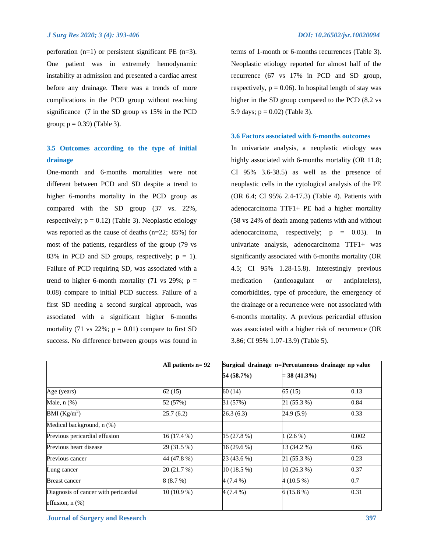perforation  $(n=1)$  or persistent significant PE  $(n=3)$ . One patient was in extremely hemodynamic instability at admission and presented a cardiac arrest before any drainage. There was a trends of more complications in the PCD group without reaching significance (7 in the SD group vs 15% in the PCD group;  $p = 0.39$  (Table 3).

## **3.5 Outcomes according to the type of initial drainage**

One-month and 6-months mortalities were not different between PCD and SD despite a trend to higher 6-months mortality in the PCD group as compared with the SD group (37 vs. 22%, respectively;  $p = 0.12$ ) (Table 3). Neoplastic etiology was reported as the cause of deaths (n=22; 85%) for most of the patients, regardless of the group (79 vs 83% in PCD and SD groups, respectively;  $p = 1$ ). Failure of PCD requiring SD, was associated with a trend to higher 6-month mortality (71 vs 29%;  $p =$ 0.08) compare to initial PCD success. Failure of a first SD needing a second surgical approach, was associated with a significant higher 6-months mortality (71 vs 22%;  $p = 0.01$ ) compare to first SD success. No difference between groups was found in terms of 1-month or 6-months recurrences (Table 3). Neoplastic etiology reported for almost half of the recurrence (67 vs 17% in PCD and SD group, respectively,  $p = 0.06$ ). In hospital length of stay was higher in the SD group compared to the PCD (8.2 vs 5.9 days;  $p = 0.02$ ) (Table 3).

## **3.6 Factors associated with 6-months outcomes**

In univariate analysis, a neoplastic etiology was highly associated with 6-months mortality (OR 11.8; CI 95% 3.6-38.5) as well as the presence of neoplastic cells in the cytological analysis of the PE (OR 6.4; CI 95% 2.4-17.3) (Table 4). Patients with adenocarcinoma TTF1+ PE had a higher mortality (58 vs 24% of death among patients with and without adenocarcinoma, respectively;  $p = 0.03$ ). In univariate analysis, adenocarcinoma TTF1+ was significantly associated with 6-months mortality (OR 4.5; CI 95% 1.28-15.8). Interestingly previous medication (anticoagulant or antiplatelets), comorbidities, type of procedure, the emergency of the drainage or a recurrence were not associated with 6-months mortality. A previous pericardial effusion was associated with a higher risk of recurrence (OR 3.86; CI 95% 1.07-13.9) (Table 5).

|                                      | All patients $n=92$      | Surgical drainage n=Percutaneous drainage np value |                |       |
|--------------------------------------|--------------------------|----------------------------------------------------|----------------|-------|
|                                      |                          | 54 (58.7%)                                         | $=$ 38 (41.3%) |       |
| Age (years)                          | 62(15)                   | 60 (14)                                            | 65(15)         | 0.13  |
| Male, $n$ $(\%)$                     | 52 (57%)                 | 31 (57%)                                           | 21 (55.3 %)    | 0.84  |
| BMI (Kg/m <sup>2</sup> )             | 25.7(6.2)                | 26.3(6.3)                                          | 24.9 (5.9)     | 0.33  |
| Medical background, n (%)            |                          |                                                    |                |       |
| Previous pericardial effusion        | 16 (17.4 %)              | $15(27.8\%)$                                       | $1(2.6\%)$     | 0.002 |
| Previous heart disease               | $\overline{29}$ (31.5 %) | 16 (29.6 %)                                        | 13 (34.2 %)    | 0.65  |
| Previous cancer                      | 44 (47.8 %)              | 23 (43.6 %)                                        | 21 (55.3 %)    | 0.23  |
| Lung cancer                          | 20 (21.7 %)              | 10 (18.5 %)                                        | $10(26.3\%)$   | 0.37  |
| <b>Breast cancer</b>                 | 8(8.7%)                  | $4(7.4\%)$                                         | 4 (10.5 %)     | 0.7   |
| Diagnosis of cancer with pericardial | $10(10.9\%)$             | 4 (7.4 %)                                          | $6(15.8\%)$    | 0.31  |
| effusion, $n$ $(\%)$                 |                          |                                                    |                |       |

*Journal of Surgery and Research* **397**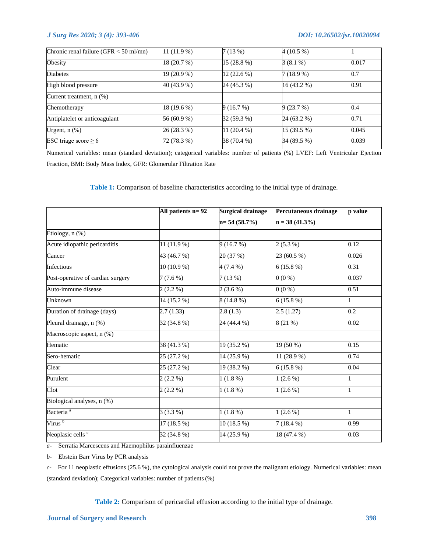| Chronic renal failure ( $GFR < 50$ ml/mn) | $11(11.9\%)$ | 7(13%)       | $4(10.5\%)$  |       |
|-------------------------------------------|--------------|--------------|--------------|-------|
| Obesity                                   | 18 (20.7 %)  | 15 (28.8 %)  | $3(8.1\%)$   | 0.017 |
| <b>Diabetes</b>                           | 19 (20.9 %)  | $12(22.6\%)$ | $7(18.9\%)$  | 0.7   |
| High blood pressure                       | 40 (43.9 %)  | 24 (45.3 %)  | 16 (43.2 %)  | 0.91  |
| Current treatment, $n$ $(\%)$             |              |              |              |       |
| Chemotherapy                              | 18 (19.6 %)  | 9(16.7%)     | 9(23.7%)     | 0.4   |
| Antiplatelet or anticoagulant             | 56 (60.9 %)  | 32 (59.3 %)  | 24 (63.2 %)  | 0.71  |
| Urgent, $n$ $(\%)$                        | 26 (28.3 %)  | 11 (20.4 %)  | $15(39.5\%)$ | 0.045 |
| ESC triage score $\geq 6$                 | 72 (78.3 %)  | 38 (70.4 %)  | 34 (89.5 %)  | 0.039 |

Numerical variables: mean (standard deviation); categorical variables: number of patients (%) LVEF: Left Ventricular Ejection Fraction, BMI: Body Mass Index, GFR: Glomerular Filtration Rate

**Table 1:** Comparison of baseline characteristics according to the initial type of drainage.

|                                   | All patients $n = 92$ | <b>Surgical drainage</b> | Percutaneous drainage | p value |
|-----------------------------------|-----------------------|--------------------------|-----------------------|---------|
|                                   |                       | $n= 54(58.7%)$           | $n = 38(41.3\%)$      |         |
| Etiology, n (%)                   |                       |                          |                       |         |
| Acute idiopathic pericarditis     | 11 (11.9 %)           | 9(16.7%)                 | $2(5.3\%)$            | 0.12    |
| Cancer                            | 43 (46.7 %)           | 20 (37 %)                | 23 (60.5 %)           | 0.026   |
| Infectious                        | $10(10.9\%)$          | $4(7.4\%)$               | $6(15.8\%)$           | 0.31    |
| Post-operative of cardiac surgery | $7(7.6\%)$            | 7(13%)                   | $0(0\%)$              | 0.037   |
| Auto-immune disease               | $2(2.2\%)$            | $2(3.6\%)$               | $0(0\%)$              | 0.51    |
| Unknown                           | 14 (15.2 %)           | $8(14.8\%)$              | $6(15.8\%)$           |         |
| Duration of drainage (days)       | 2.7(1.33)             | 2.8(1.3)                 | 2.5(1.27)             | 0.2     |
| Pleural drainage, n (%)           | 32 (34.8 %)           | 24 (44.4 %)              | 8(21%)                | 0.02    |
| Macroscopic aspect, n (%)         |                       |                          |                       |         |
| Hematic                           | 38 (41.3 %)           | $19(35.2\%)$             | $19(50\%)$            | 0.15    |
| Sero-hematic                      | 25 (27.2 %)           | 14 (25.9 %)              | 11 (28.9 %)           | 0.74    |
| Clear                             | 25 (27.2 %)           | 19 (38.2 %)              | $6(15.8\%)$           | 0.04    |
| Purulent                          | $2(2.2\%)$            | $1(1.8\%)$               | $1(2.6\%)$            |         |
| Clot                              | $2(2.2\%)$            | 1(1.8%)                  | $1(2.6\%)$            |         |
| Biological analyses, n (%)        |                       |                          |                       |         |
| Bacteria <sup>a</sup>             | $3(3.3\%)$            | $1(1.8\%)$               | $1(2.6\%)$            |         |
| Virus <sup>b</sup>                | 17 (18.5 %)           | $10(18.5\%)$             | $7(18.4\%)$           | 0.99    |
| Neoplasic cells <sup>c</sup>      | 32 (34.8 %)           | 14 (25.9 %)              | 18 (47.4 %)           | 0.03    |

*a-* Serratia Marcescens and Haemophilus parainfluenzae

*b-* Ebstein Barr Virus by PCR analysis

*c-* For 11 neoplastic effusions (25.6 %), the cytological analysis could not prove the malignant etiology. Numerical variables: mean (standard deviation); Categorical variables: number of patients (%)

**Table 2:** Comparison of pericardial effusion according to the initial type of drainage.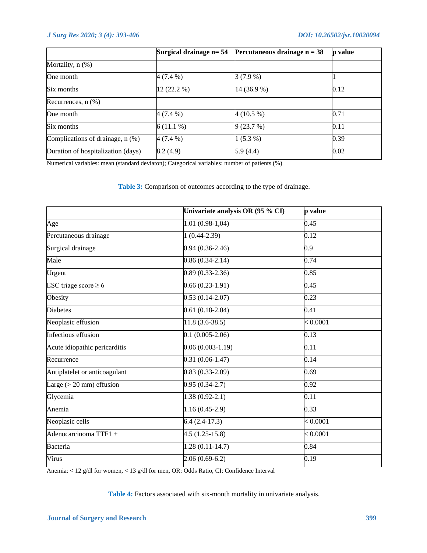|                                    | Surgical drainage n= 54 | Percutaneous drainage $n = 38$ | p value |
|------------------------------------|-------------------------|--------------------------------|---------|
| Mortality, $n$ $(\%)$              |                         |                                |         |
| One month                          | 4 (7.4 %)               | $3(7.9\%)$                     |         |
| Six months                         | 12 (22.2 %)             | 14 (36.9 %)                    | 0.12    |
| Recurrences, $n$ $(\%)$            |                         |                                |         |
| One month                          | 4 (7.4 %)               | $4(10.5\%)$                    | 0.71    |
| Six months                         | $6(11.1\%)$             | 9(23.7%)                       | 0.11    |
| Complications of drainage, n (%)   | $4(7.4\%)$              | $1(5.3\%)$                     | 0.39    |
| Duration of hospitalization (days) | 8.2(4.9)                | 5.9 (4.4)                      | 0.02    |

Numerical variables: mean (standard deviaton); Categorical variables: number of patients (%)

**Table 3:** Comparison of outcomes according to the type of drainage.

|                               | Univariate analysis OR (95 % CI) | p value           |
|-------------------------------|----------------------------------|-------------------|
| Age                           | $1.01(0.98-1,04)$                | 0.45              |
| Percutaneous drainage         | $1(0.44-2.39)$                   | 0.12              |
| Surgical drainage             | $0.94(0.36-2.46)$                | 0.9               |
| Male                          | $0.86(0.34-2.14)$                | 0.74              |
| Urgent                        | $0.89(0.33-2.36)$                | 0.85              |
| ESC triage score $\geq 6$     | $0.66(0.23-1.91)$                | 0.45              |
| Obesity                       | $0.53(0.14-2.07)$                | 0.23              |
| <b>Diabetes</b>               | $0.61(0.18-2.04)$                | $\overline{0.41}$ |
| Neoplasic effusion            | $11.8(3.6-38.5)$                 | < 0.0001          |
| Infectious effusion           | $0.1(0.005-2.06)$                | 0.13              |
| Acute idiopathic pericarditis | $0.06(0.003-1.19)$               | 0.11              |
| Recurrence                    | $0.31(0.06-1.47)$                | 0.14              |
| Antiplatelet or anticoagulant | $0.83(0.33-2.09)$                | 0.69              |
| Large $(>20$ mm) effusion     | $0.95(0.34-2.7)$                 | 0.92              |
| Glycemia                      | $1.38(0.92-2.1)$                 | 0.11              |
| Anemia                        | $1.16(0.45-2.9)$                 | 0.33              |
| Neoplasic cells               | $6.4(2.4-17.3)$                  | < 0.0001          |
| Adenocarcinoma TTF1 +         | $4.5(1.25-15.8)$                 | < 0.0001          |
| Bacteria                      | $1.28(0.11-14.7)$                | 0.84              |
| Virus                         | $2.06(0.69-6.2)$                 | 0.19              |

Anemia: < 12 g/dl for women, < 13 g/dl for men, OR: Odds Ratio, CI: Confidence Interval

Table 4: Factors associated with six-month mortality in univariate analysis.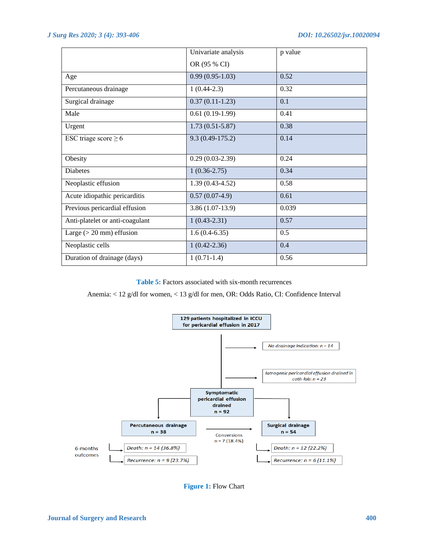|                                 | Univariate analysis | p value |
|---------------------------------|---------------------|---------|
|                                 | OR (95 % CI)        |         |
| Age                             | $0.99(0.95-1.03)$   | 0.52    |
| Percutaneous drainage           | $1(0.44-2.3)$       | 0.32    |
| Surgical drainage               | $0.37(0.11-1.23)$   | 0.1     |
| Male                            | $0.61(0.19-1.99)$   | 0.41    |
| Urgent                          | $1.73(0.51 - 5.87)$ | 0.38    |
| ESC triage score $\geq 6$       | $9.3(0.49-175.2)$   | 0.14    |
| Obesity                         | $0.29(0.03-2.39)$   | 0.24    |
| <b>Diabetes</b>                 | $1(0.36-2.75)$      | 0.34    |
| Neoplastic effusion             | $1.39(0.43-4.52)$   | 0.58    |
| Acute idiopathic pericarditis   | $0.57(0.07-4.9)$    | 0.61    |
| Previous pericardial effusion   | $3.86(1.07-13.9)$   | 0.039   |
| Anti-platelet or anti-coagulant | $1(0.43-2.31)$      | 0.57    |
| Large $(>20$ mm) effusion       | $1.6(0.4-6.35)$     | 0.5     |
| Neoplastic cells                | $1(0.42 - 2.36)$    | 0.4     |
| Duration of drainage (days)     | $1(0.71-1.4)$       | 0.56    |

**Table 5:** Factors associated with six-month recurrences

## Anemia: < 12 g/dl for women, < 13 g/dl for men, OR: Odds Ratio, CI: Confidence Interval



**Figure 1:** Flow Chart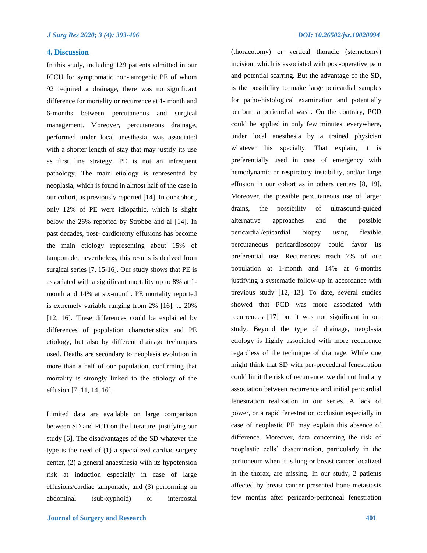## **4. Discussion**

In this study, including 129 patients admitted in our ICCU for symptomatic non-iatrogenic PE of whom 92 required a drainage, there was no significant difference for mortality or recurrence at 1- month and 6-months between percutaneous and surgical management. Moreover, percutaneous drainage, performed under local anesthesia, was associated with a shorter length of stay that may justify its use as first line strategy. PE is not an infrequent pathology. The main etiology is represented by neoplasia, which is found in almost half of the case in our cohort, as previously reported [14]. In our cohort, only 12% of PE were idiopathic, which is slight below the 26% reported by Strobbe and al [14]. In past decades, post- cardiotomy effusions has become the main etiology representing about 15% of tamponade, nevertheless, this results is derived from surgical series [7, 15-16]. Our study shows that PE is associated with a significant mortality up to 8% at 1 month and 14% at six-month. PE mortality reported is extremely variable ranging from 2% [16], to 20% [12, 16]. These differences could be explained by differences of population characteristics and PE etiology, but also by different drainage techniques used. Deaths are secondary to neoplasia evolution in more than a half of our population, confirming that mortality is strongly linked to the etiology of the effusion [7, 11, 14, 16].

Limited data are available on large comparison between SD and PCD on the literature, justifying our study [6]. The disadvantages of the SD whatever the type is the need of (1) a specialized cardiac surgery center, (2) a general anaesthesia with its hypotension risk at induction especially in case of large effusions/cardiac tamponade, and (3) performing an abdominal (sub-xyphoid) or intercostal

(thoracotomy) or vertical thoracic (sternotomy) incision, which is associated with post-operative pain and potential scarring. But the advantage of the SD, is the possibility to make large pericardial samples for patho-histological examination and potentially perform a pericardial wash. On the contrary, PCD could be applied in only few minutes, everywhere**,**  under local anesthesia by a trained physician whatever his specialty. That explain, it is preferentially used in case of emergency with hemodynamic or respiratory instability, and/or large effusion in our cohort as in others centers [8, 19]. Moreover, the possible percutaneous use of larger drains, the possibility of ultrasound-guided alternative approaches and the possible pericardial/epicardial biopsy using flexible percutaneous pericardioscopy could favor its preferential use. Recurrences reach 7% of our population at 1-month and 14% at 6-months justifying a systematic follow-up in accordance with previous study [12, 13]. To date, several studies showed that PCD was more associated with recurrences [17] but it was not significant in our study. Beyond the type of drainage, neoplasia etiology is highly associated with more recurrence regardless of the technique of drainage. While one might think that SD with per-procedural fenestration could limit the risk of recurrence, we did not find any association between recurrence and initial pericardial fenestration realization in our series. A lack of power, or a rapid fenestration occlusion especially in case of neoplastic PE may explain this absence of difference. Moreover, data concerning the risk of neoplastic cells' dissemination, particularly in the peritoneum when it is lung or breast cancer localized in the thorax, are missing. In our study, 2 patients affected by breast cancer presented bone metastasis few months after pericardo-peritoneal fenestration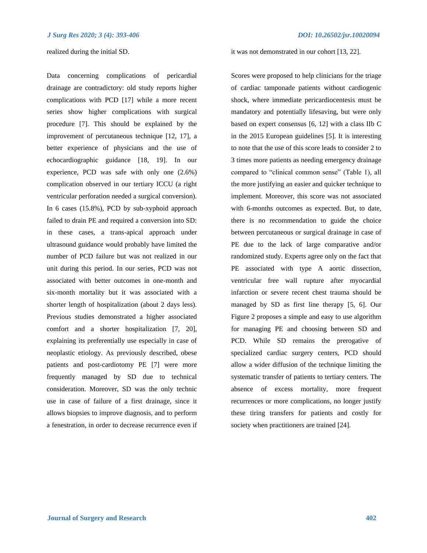realized during the initial SD.

Data concerning complications of pericardial drainage are contradictory: old study reports higher complications with PCD [17] while a more recent series show higher complications with surgical procedure [7]. This should be explained by the improvement of percutaneous technique [12, 17], a better experience of physicians and the use of echocardiographic guidance [18, 19]. In our experience, PCD was safe with only one (2.6%) complication observed in our tertiary ICCU (a right ventricular perforation needed a surgical conversion). In 6 cases (15.8%), PCD by sub-xyphoid approach failed to drain PE and required a conversion into SD: in these cases, a trans-apical approach under ultrasound guidance would probably have limited the number of PCD failure but was not realized in our unit during this period. In our series, PCD was not associated with better outcomes in one-month and six-month mortality but it was associated with a shorter length of hospitalization (about 2 days less). Previous studies demonstrated a higher associated comfort and a shorter hospitalization [7, 20], explaining its preferentially use especially in case of neoplastic etiology. As previously described, obese patients and post-cardiotomy PE [7] were more frequently managed by SD due to technical consideration. Moreover, SD was the only technic use in case of failure of a first drainage, since it allows biopsies to improve diagnosis, and to perform a fenestration, in order to decrease recurrence even if

it was not demonstrated in our cohort [13, 22].

Scores were proposed to help clinicians for the triage of cardiac tamponade patients without cardiogenic shock, where immediate pericardiocentesis must be mandatory and potentially lifesaving, but were only based on expert consensus [6, 12] with a class IIb C in the 2015 European guidelines [5]. It is interesting to note that the use of this score leads to consider 2 to 3 times more patients as needing emergency drainage compared to "clinical common sense" (Table 1), all the more justifying an easier and quicker technique to implement. Moreover, this score was not associated with 6-months outcomes as expected. But, to date, there is no recommendation to guide the choice between percutaneous or surgical drainage in case of PE due to the lack of large comparative and/or randomized study. Experts agree only on the fact that PE associated with type A aortic dissection, ventricular free wall rupture after myocardial infarction or severe recent chest trauma should be managed by SD as first line therapy [5, 6]. Our Figure 2 proposes a simple and easy to use algorithm for managing PE and choosing between SD and PCD. While SD remains the prerogative of specialized cardiac surgery centers, PCD should allow a wider diffusion of the technique limiting the systematic transfer of patients to tertiary centers. The absence of excess mortality, more frequent recurrences or more complications, no longer justify these tiring transfers for patients and costly for society when practitioners are trained [24].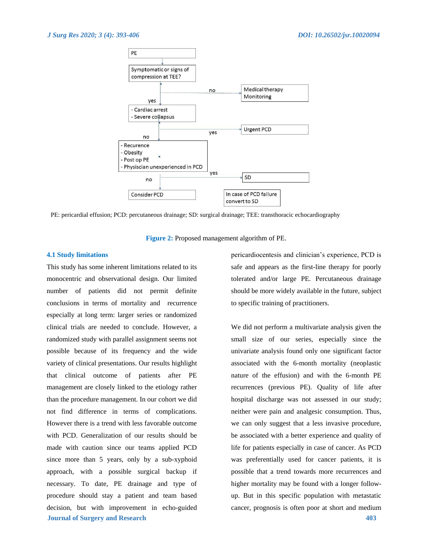

PE: pericardial effusion; PCD: percutaneous drainage; SD: surgical drainage; TEE: transthoracic echocardiography

**Figure 2:** Proposed management algorithm of PE.

## **4.1 Study limitations**

**Journal of Surgery and Research 403** This study has some inherent limitations related to its monocentric and observational design. Our limited number of patients did not permit definite conclusions in terms of mortality and recurrence especially at long term: larger series or randomized clinical trials are needed to conclude. However, a randomized study with parallel assignment seems not possible because of its frequency and the wide variety of clinical presentations. Our results highlight that clinical outcome of patients after PE management are closely linked to the etiology rather than the procedure management. In our cohort we did not find difference in terms of complications. However there is a trend with less favorable outcome with PCD. Generalization of our results should be made with caution since our teams applied PCD since more than 5 years, only by a sub-xyphoid approach, with a possible surgical backup if necessary. To date, PE drainage and type of procedure should stay a patient and team based decision, but with improvement in echo-guided

pericardiocentesis and clinician's experience, PCD is safe and appears as the first-line therapy for poorly tolerated and/or large PE. Percutaneous drainage should be more widely available in the future, subject to specific training of practitioners.

We did not perform a multivariate analysis given the small size of our series, especially since the univariate analysis found only one significant factor associated with the 6-month mortality (neoplastic nature of the effusion) and with the 6-month PE recurrences (previous PE). Quality of life after hospital discharge was not assessed in our study; neither were pain and analgesic consumption. Thus, we can only suggest that a less invasive procedure, be associated with a better experience and quality of life for patients especially in case of cancer. As PCD was preferentially used for cancer patients, it is possible that a trend towards more recurrences and higher mortality may be found with a longer followup. But in this specific population with metastatic cancer, prognosis is often poor at short and medium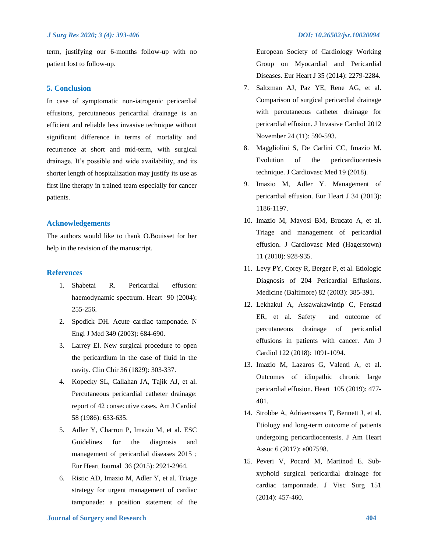term, justifying our 6-months follow-up with no patient lost to follow-up.

## **5. Conclusion**

In case of symptomatic non-iatrogenic pericardial effusions, percutaneous pericardial drainage is an efficient and reliable less invasive technique without significant difference in terms of mortality and recurrence at short and mid-term, with surgical drainage. It's possible and wide availability, and its shorter length of hospitalization may justify its use as first line therapy in trained team especially for cancer patients.

## **Acknowledgements**

The authors would like to thank O.Bouisset for her help in the revision of the manuscript.

## **References**

- 1. Shabetai R. Pericardial effusion: haemodynamic spectrum. Heart 90 (2004): 255-256.
- 2. Spodick DH. Acute cardiac tamponade. N Engl J Med 349 (2003): 684-690.
- 3. Larrey El. New surgical procedure to open the pericardium in the case of fluid in the cavity. Clin Chir 36 (1829): 303-337.
- 4. Kopecky SL, Callahan JA, Tajik AJ, et al. Percutaneous pericardial catheter drainage: report of 42 consecutive cases. Am J Cardiol 58 (1986): 633-635.
- 5. Adler Y, Charron P, Imazio M, et al. ESC Guidelines for the diagnosis and management of pericardial diseases 2015 ; Eur Heart Journal 36 (2015): 2921-2964.
- 6. Ristic AD, Imazio M, Adler Y, et al. Triage strategy for urgent management of cardiac tamponade: a position statement of the

European Society of Cardiology Working Group on Myocardial and Pericardial Diseases. Eur Heart J 35 (2014): 2279-2284.

- 7. Saltzman AJ, Paz YE, Rene AG, et al. Comparison of surgical pericardial drainage with percutaneous catheter drainage for pericardial effusion. J Invasive Cardiol 2012 November 24 (11): 590-593.
- 8. Maggliolini S, De Carlini CC, Imazio M. Evolution of the pericardiocentesis technique. J Cardiovasc Med 19 (2018).
- 9. Imazio M, Adler Y. Management of pericardial effusion. Eur Heart J 34 (2013): 1186-1197.
- 10. Imazio M, Mayosi BM, Brucato A, et al. Triage and management of pericardial effusion. J Cardiovasc Med (Hagerstown) 11 (2010): 928-935.
- 11. Levy PY, Corey R, Berger P, et al. Etiologic Diagnosis of 204 Pericardial Effusions. Medicine (Baltimore) 82 (2003): 385-391.
- 12. Lekhakul A, Assawakawintip C, Fenstad ER, et al. Safety and outcome of percutaneous drainage of pericardial effusions in patients with cancer. Am J Cardiol 122 (2018): 1091-1094.
- 13. Imazio M, Lazaros G, Valenti A, et al. Outcomes of idiopathic chronic large pericardial effusion. Heart 105 (2019): 477- 481.
- 14. Strobbe A, Adriaenssens T, Bennett J, et al. Etiology and long-term outcome of patients undergoing pericardiocentesis. J Am Heart Assoc 6 (2017): e007598.
- 15. Peveri V, Pocard M, Martinod E. Subxyphoid surgical pericardial drainage for cardiac tamponnade. J Visc Surg 151 (2014): 457-460.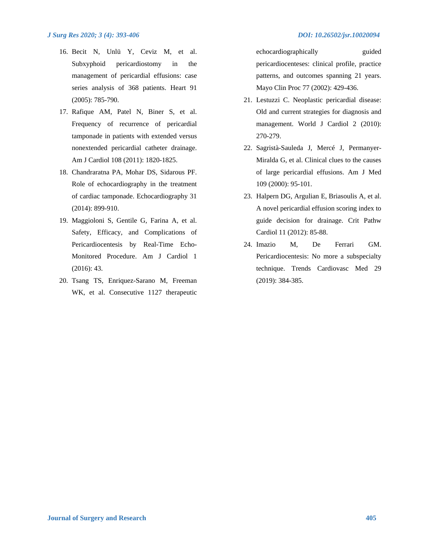- 16. Becit N, Unlü Y, Ceviz M, et al. Subxyphoid pericardiostomy in the management of pericardial effusions: case series analysis of 368 patients. Heart 91 (2005): 785-790.
- 17. Rafique AM, Patel N, Biner S, et al. Frequency of recurrence of pericardial tamponade in patients with extended versus nonextended pericardial catheter drainage. Am J Cardiol 108 (2011): 1820-1825.
- 18. Chandraratna PA, Mohar DS, Sidarous PF. Role of echocardiography in the treatment of cardiac tamponade. Echocardiography 31 (2014): 899-910.
- 19. Maggioloni S, Gentile G, Farina A, et al. Safety, Efficacy, and Complications of Pericardiocentesis by Real-Time Echo-Monitored Procedure. Am J Cardiol 1 (2016): 43.
- 20. Tsang TS, Enriquez-Sarano M, Freeman WK, et al. Consecutive 1127 therapeutic

echocardiographically guided pericardiocenteses: clinical profile, practice patterns, and outcomes spanning 21 years. Mayo Clin Proc 77 (2002): 429-436.

- 21. Lestuzzi C. Neoplastic pericardial disease: Old and current strategies for diagnosis and management. World J Cardiol 2 (2010): 270-279.
- 22. Sagristà-Sauleda J, Mercé J, Permanyer-Miralda G, et al. Clinical clues to the causes of large pericardial effusions. Am J Med 109 (2000): 95-101.
- 23. Halpern DG, Argulian E, Briasoulis A, et al. A novel pericardial effusion scoring index to guide decision for drainage. Crit Pathw Cardiol 11 (2012): 85-88.
- 24. Imazio M, De Ferrari GM. Pericardiocentesis: No more a subspecialty technique. Trends Cardiovasc Med 29 (2019): 384-385.